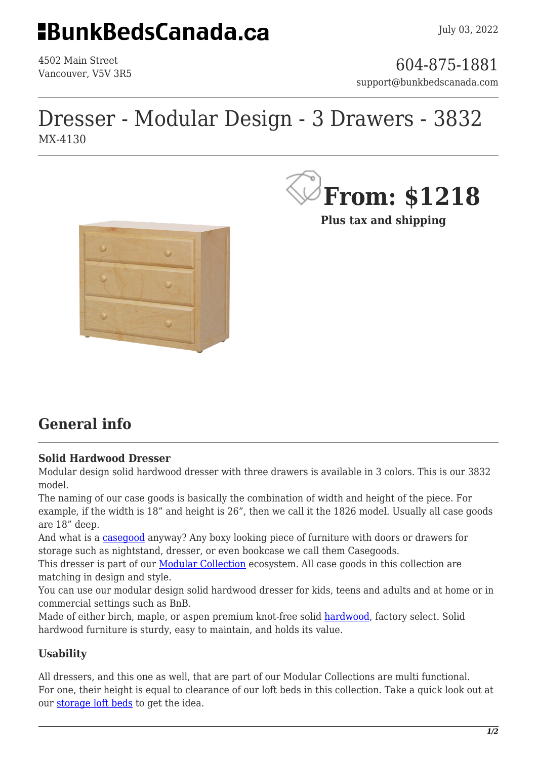## **EBunkBedsCanada.ca**

4502 Main Street

4502 Main Street<br>Vancouver, V5V 3R5 support@bunkbedscanada.com

## Dresser - Modular Design - 3 Drawers - 3832 MX-4130



**Plus tax and shipping**



### **General info**

#### **Solid Hardwood Dresser**

Modular design solid hardwood dresser with three drawers is available in 3 colors. This is our 3832 model.

The naming of our case goods is basically the combination of width and height of the piece. For example, if the width is 18" and height is 26", then we call it the 1826 model. Usually all case goods are 18" deep.

And what is a [casegood](https://en.wikipedia.org/wiki/Cabinetry) anyway? Any boxy looking piece of furniture with doors or drawers for storage such as nightstand, dresser, or even bookcase we call them Casegoods.

This dresser is part of our [Modular Collection](https://bunkbedscanada.com/bunk-bed-collections/modular-collection/case-goods.html) ecosystem. All case goods in this collection are matching in design and style.

You can use our modular design solid hardwood dresser for kids, teens and adults and at home or in commercial settings such as BnB.

Made of either birch, maple, or aspen premium knot-free solid [hardwood,](https://en.wikipedia.org/wiki/Hardwood) factory select. Solid hardwood furniture is sturdy, easy to maintain, and holds its value.

### **Usability**

All dressers, and this one as well, that are part of our Modular Collections are multi functional. For one, their height is equal to clearance of our loft beds in this collection. Take a quick look out at our [storage loft beds](https://bunkbedscanada.com/loft-beds/storage-loft-beds.html) to get the idea.